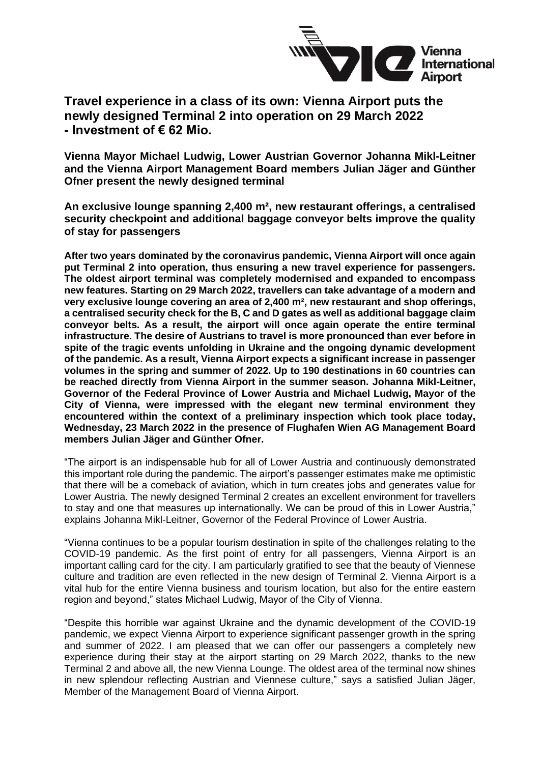

**Travel experience in a class of its own: Vienna Airport puts the newly designed Terminal 2 into operation on 29 March 2022 - Investment of € 62 Mio.**

**Vienna Mayor Michael Ludwig, Lower Austrian Governor Johanna Mikl-Leitner and the Vienna Airport Management Board members Julian Jäger and Günther Ofner present the newly designed terminal**

**An exclusive lounge spanning 2,400 m², new restaurant offerings, a centralised security checkpoint and additional baggage conveyor belts improve the quality of stay for passengers**

**After two years dominated by the coronavirus pandemic, Vienna Airport will once again put Terminal 2 into operation, thus ensuring a new travel experience for passengers. The oldest airport terminal was completely modernised and expanded to encompass new features. Starting on 29 March 2022, travellers can take advantage of a modern and very exclusive lounge covering an area of 2,400 m², new restaurant and shop offerings, a centralised security check for the B, C and D gates as well as additional baggage claim conveyor belts. As a result, the airport will once again operate the entire terminal infrastructure. The desire of Austrians to travel is more pronounced than ever before in spite of the tragic events unfolding in Ukraine and the ongoing dynamic development of the pandemic. As a result, Vienna Airport expects a significant increase in passenger volumes in the spring and summer of 2022. Up to 190 destinations in 60 countries can be reached directly from Vienna Airport in the summer season. Johanna Mikl-Leitner, Governor of the Federal Province of Lower Austria and Michael Ludwig, Mayor of the City of Vienna, were impressed with the elegant new terminal environment they encountered within the context of a preliminary inspection which took place today, Wednesday, 23 March 2022 in the presence of Flughafen Wien AG Management Board members Julian Jäger and Günther Ofner.**

"The airport is an indispensable hub for all of Lower Austria and continuously demonstrated this important role during the pandemic. The airport's passenger estimates make me optimistic that there will be a comeback of aviation, which in turn creates jobs and generates value for Lower Austria. The newly designed Terminal 2 creates an excellent environment for travellers to stay and one that measures up internationally. We can be proud of this in Lower Austria," explains Johanna Mikl-Leitner, Governor of the Federal Province of Lower Austria.

"Vienna continues to be a popular tourism destination in spite of the challenges relating to the COVID-19 pandemic. As the first point of entry for all passengers, Vienna Airport is an important calling card for the city. I am particularly gratified to see that the beauty of Viennese culture and tradition are even reflected in the new design of Terminal 2. Vienna Airport is a vital hub for the entire Vienna business and tourism location, but also for the entire eastern region and beyond," states Michael Ludwig, Mayor of the City of Vienna.

"Despite this horrible war against Ukraine and the dynamic development of the COVID-19 pandemic, we expect Vienna Airport to experience significant passenger growth in the spring and summer of 2022. I am pleased that we can offer our passengers a completely new experience during their stay at the airport starting on 29 March 2022, thanks to the new Terminal 2 and above all, the new Vienna Lounge. The oldest area of the terminal now shines in new splendour reflecting Austrian and Viennese culture," says a satisfied Julian Jäger, Member of the Management Board of Vienna Airport.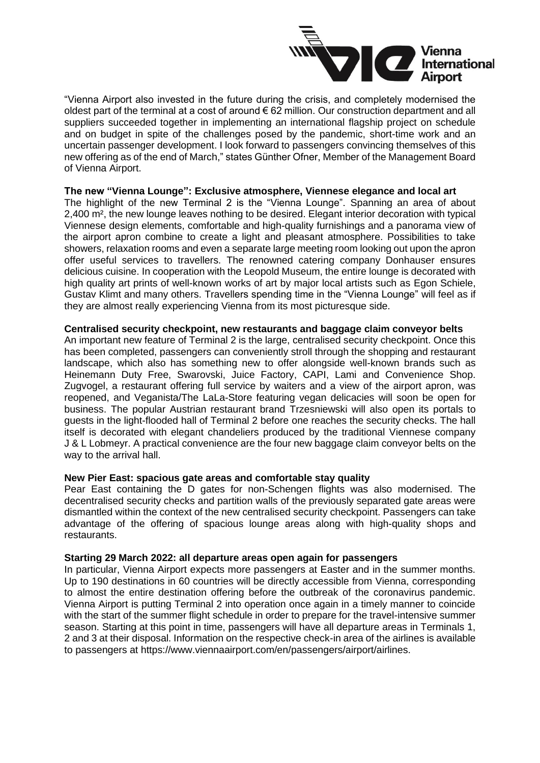

"Vienna Airport also invested in the future during the crisis, and completely modernised the oldest part of the terminal at a cost of around  $\epsilon$  62 million. Our construction department and all suppliers succeeded together in implementing an international flagship project on schedule and on budget in spite of the challenges posed by the pandemic, short-time work and an uncertain passenger development. I look forward to passengers convincing themselves of this new offering as of the end of March," states Günther Ofner, Member of the Management Board of Vienna Airport.

## **The new "Vienna Lounge": Exclusive atmosphere, Viennese elegance and local art**

The highlight of the new Terminal 2 is the "Vienna Lounge". Spanning an area of about 2,400 m², the new lounge leaves nothing to be desired. Elegant interior decoration with typical Viennese design elements, comfortable and high-quality furnishings and a panorama view of the airport apron combine to create a light and pleasant atmosphere. Possibilities to take showers, relaxation rooms and even a separate large meeting room looking out upon the apron offer useful services to travellers. The renowned catering company Donhauser ensures delicious cuisine. In cooperation with the Leopold Museum, the entire lounge is decorated with high quality art prints of well-known works of art by major local artists such as Egon Schiele, Gustav Klimt and many others. Travellers spending time in the "Vienna Lounge" will feel as if they are almost really experiencing Vienna from its most picturesque side.

## **Centralised security checkpoint, new restaurants and baggage claim conveyor belts**

An important new feature of Terminal 2 is the large, centralised security checkpoint. Once this has been completed, passengers can conveniently stroll through the shopping and restaurant landscape, which also has something new to offer alongside well-known brands such as Heinemann Duty Free, Swarovski, Juice Factory, CAPI, Lami and Convenience Shop. Zugvogel, a restaurant offering full service by waiters and a view of the airport apron, was reopened, and Veganista/The LaLa-Store featuring vegan delicacies will soon be open for business. The popular Austrian restaurant brand Trzesniewski will also open its portals to guests in the light-flooded hall of Terminal 2 before one reaches the security checks. The hall itself is decorated with elegant chandeliers produced by the traditional Viennese company J & L Lobmeyr. A practical convenience are the four new baggage claim conveyor belts on the way to the arrival hall.

## **New Pier East: spacious gate areas and comfortable stay quality**

Pear East containing the D gates for non-Schengen flights was also modernised. The decentralised security checks and partition walls of the previously separated gate areas were dismantled within the context of the new centralised security checkpoint. Passengers can take advantage of the offering of spacious lounge areas along with high-quality shops and restaurants.

## **Starting 29 March 2022: all departure areas open again for passengers**

In particular, Vienna Airport expects more passengers at Easter and in the summer months. Up to 190 destinations in 60 countries will be directly accessible from Vienna, corresponding to almost the entire destination offering before the outbreak of the coronavirus pandemic. Vienna Airport is putting Terminal 2 into operation once again in a timely manner to coincide with the start of the summer flight schedule in order to prepare for the travel-intensive summer season. Starting at this point in time, passengers will have all departure areas in Terminals 1, 2 and 3 at their disposal. Information on the respective check-in area of the airlines is available to passengers at [https://www.viennaairport.com/en/passengers/airport/airlines.](https://www.viennaairport.com/en/passengers/airport/airlines)